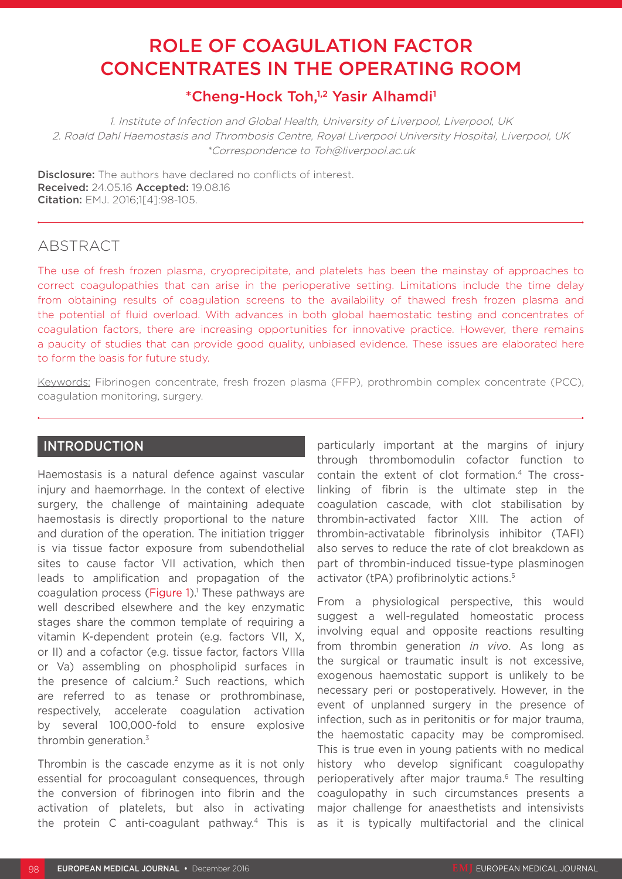# ROLE OF COAGULATION FACTOR CONCENTRATES IN THE OPERATING ROOM

# \*Cheng-Hock Toh,1,2 Yasir Alhamdi1

1. Institute of Infection and Global Health, University of Liverpool, Liverpool, UK 2. Roald Dahl Haemostasis and Thrombosis Centre, Royal Liverpool University Hospital, Liverpool, UK \*Correspondence to Toh@liverpool.ac.uk

**Disclosure:** The authors have declared no conflicts of interest. Received: 24.05.16 Accepted: 19.08.16 Citation: EMJ. 2016;1[4]:98-105.

# ABSTRACT

The use of fresh frozen plasma, cryoprecipitate, and platelets has been the mainstay of approaches to correct coagulopathies that can arise in the perioperative setting. Limitations include the time delay from obtaining results of coagulation screens to the availability of thawed fresh frozen plasma and the potential of fluid overload. With advances in both global haemostatic testing and concentrates of coagulation factors, there are increasing opportunities for innovative practice. However, there remains a paucity of studies that can provide good quality, unbiased evidence. These issues are elaborated here to form the basis for future study.

Keywords: Fibrinogen concentrate, fresh frozen plasma (FFP), prothrombin complex concentrate (PCC), coagulation monitoring, surgery.

## **INTRODUCTION**

Haemostasis is a natural defence against vascular injury and haemorrhage. In the context of elective surgery, the challenge of maintaining adequate haemostasis is directly proportional to the nature and duration of the operation. The initiation trigger is via tissue factor exposure from subendothelial sites to cause factor VII activation, which then leads to amplification and propagation of the coagulation process (Figure  $1$ ).<sup>1</sup> These pathways are well described elsewhere and the key enzymatic stages share the common template of requiring a vitamin K-dependent protein (e.g. factors VII, X, or II) and a cofactor (e.g. tissue factor, factors VIIIa or Va) assembling on phospholipid surfaces in the presence of calcium.<sup>2</sup> Such reactions, which are referred to as tenase or prothrombinase, respectively, accelerate coagulation activation by several 100,000-fold to ensure explosive thrombin generation.<sup>3</sup>

Thrombin is the cascade enzyme as it is not only essential for procoagulant consequences, through the conversion of fibrinogen into fibrin and the activation of platelets, but also in activating the protein C anti-coagulant pathway.4 This is

particularly important at the margins of injury through thrombomodulin cofactor function to contain the extent of clot formation.4 The crosslinking of fibrin is the ultimate step in the coagulation cascade, with clot stabilisation by thrombin-activated factor XIII. The action of thrombin-activatable fibrinolysis inhibitor (TAFI) also serves to reduce the rate of clot breakdown as part of thrombin-induced tissue-type plasminogen activator (tPA) profibrinolytic actions.<sup>5</sup>

From a physiological perspective, this would suggest a well-regulated homeostatic process involving equal and opposite reactions resulting from thrombin generation *in vivo*. As long as the surgical or traumatic insult is not excessive, exogenous haemostatic support is unlikely to be necessary peri or postoperatively. However, in the event of unplanned surgery in the presence of infection, such as in peritonitis or for major trauma, the haemostatic capacity may be compromised. This is true even in young patients with no medical history who develop significant coagulopathy perioperatively after major trauma.6 The resulting coagulopathy in such circumstances presents a major challenge for anaesthetists and intensivists as it is typically multifactorial and the clinical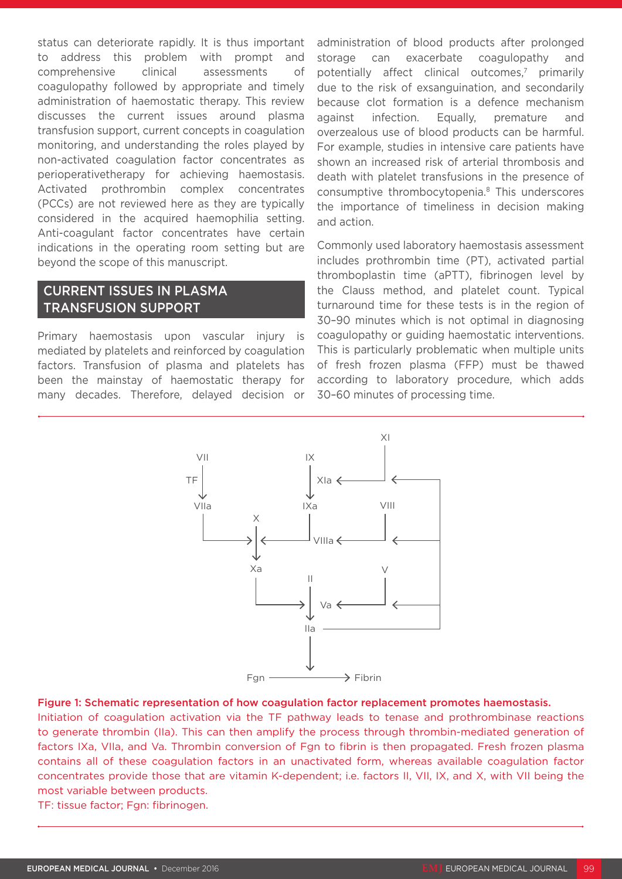status can deteriorate rapidly. It is thus important to address this problem with prompt and comprehensive clinical assessments of coagulopathy followed by appropriate and timely administration of haemostatic therapy. This review discusses the current issues around plasma transfusion support, current concepts in coagulation monitoring, and understanding the roles played by non-activated coagulation factor concentrates as perioperativetherapy for achieving haemostasis. Activated prothrombin complex concentrates (PCCs) are not reviewed here as they are typically considered in the acquired haemophilia setting. Anti-coagulant factor concentrates have certain indications in the operating room setting but are beyond the scope of this manuscript.

## CURRENT ISSUES IN PLASMA TRANSFUSION SUPPORT

Primary haemostasis upon vascular injury is mediated by platelets and reinforced by coagulation factors. Transfusion of plasma and platelets has been the mainstay of haemostatic therapy for many decades. Therefore, delayed decision or administration of blood products after prolonged storage can exacerbate coagulopathy and potentially affect clinical outcomes,<sup>7</sup> primarily due to the risk of exsanguination, and secondarily because clot formation is a defence mechanism against infection. Equally, premature and overzealous use of blood products can be harmful. For example, studies in intensive care patients have shown an increased risk of arterial thrombosis and death with platelet transfusions in the presence of consumptive thrombocytopenia.8 This underscores the importance of timeliness in decision making and action.

Commonly used laboratory haemostasis assessment includes prothrombin time (PT), activated partial thromboplastin time (aPTT), fibrinogen level by the Clauss method, and platelet count. Typical turnaround time for these tests is in the region of 30–90 minutes which is not optimal in diagnosing coagulopathy or guiding haemostatic interventions. This is particularly problematic when multiple units of fresh frozen plasma (FFP) must be thawed according to laboratory procedure, which adds 30–60 minutes of processing time.



#### Figure 1: Schematic representation of how coagulation factor replacement promotes haemostasis.

Initiation of coagulation activation via the TF pathway leads to tenase and prothrombinase reactions to generate thrombin (IIa). This can then amplify the process through thrombin-mediated generation of factors IXa, VIIa, and Va. Thrombin conversion of Fgn to fibrin is then propagated. Fresh frozen plasma contains all of these coagulation factors in an unactivated form, whereas available coagulation factor concentrates provide those that are vitamin K-dependent; i.e. factors II, VII, IX, and X, with VII being the most variable between products.

TF: tissue factor; Fgn: fibrinogen.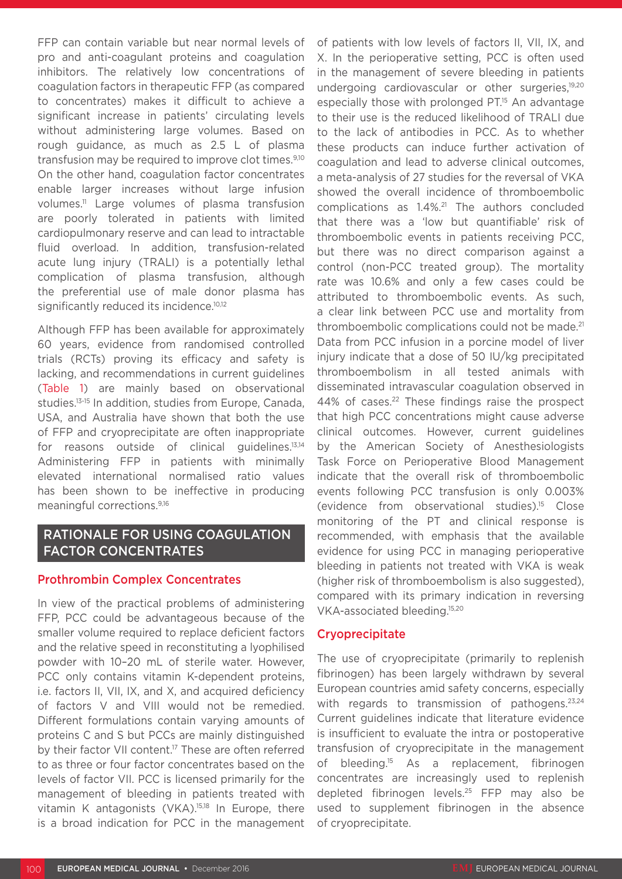FFP can contain variable but near normal levels of pro and anti-coagulant proteins and coagulation inhibitors. The relatively low concentrations of coagulation factors in therapeutic FFP (as compared to concentrates) makes it difficult to achieve a significant increase in patients' circulating levels without administering large volumes. Based on rough guidance, as much as 2.5 L of plasma transfusion may be required to improve clot times.9,10 On the other hand, coagulation factor concentrates enable larger increases without large infusion volumes.11 Large volumes of plasma transfusion are poorly tolerated in patients with limited cardiopulmonary reserve and can lead to intractable fluid overload. In addition, transfusion-related acute lung injury (TRALI) is a potentially lethal complication of plasma transfusion, although the preferential use of male donor plasma has significantly reduced its incidence.<sup>10,12</sup>

Although FFP has been available for approximately 60 years, evidence from randomised controlled trials (RCTs) proving its efficacy and safety is lacking, and recommendations in current guidelines (Table 1) are mainly based on observational studies.13-15 In addition, studies from Europe, Canada, USA, and Australia have shown that both the use of FFP and cryoprecipitate are often inappropriate for reasons outside of clinical guidelines.13,14 Administering FFP in patients with minimally elevated international normalised ratio values has been shown to be ineffective in producing meaningful corrections.9,16

## RATIONALE FOR USING COAGULATION FACTOR CONCENTRATES

## Prothrombin Complex Concentrates

In view of the practical problems of administering FFP, PCC could be advantageous because of the smaller volume required to replace deficient factors and the relative speed in reconstituting a lyophilised powder with 10–20 mL of sterile water. However, PCC only contains vitamin K-dependent proteins, i.e. factors II, VII, IX, and X, and acquired deficiency of factors V and VIII would not be remedied. Different formulations contain varying amounts of proteins C and S but PCCs are mainly distinguished by their factor VII content.<sup>17</sup> These are often referred to as three or four factor concentrates based on the levels of factor VII. PCC is licensed primarily for the management of bleeding in patients treated with vitamin K antagonists (VKA).<sup>15,18</sup> In Europe, there is a broad indication for PCC in the management of patients with low levels of factors II, VII, IX, and X. In the perioperative setting, PCC is often used in the management of severe bleeding in patients undergoing cardiovascular or other surgeries.<sup>19,20</sup> especially those with prolonged PT.<sup>15</sup> An advantage to their use is the reduced likelihood of TRALI due to the lack of antibodies in PCC. As to whether these products can induce further activation of coagulation and lead to adverse clinical outcomes, a meta-analysis of 27 studies for the reversal of VKA showed the overall incidence of thromboembolic complications as 1.4%.21 The authors concluded that there was a 'low but quantifiable' risk of thromboembolic events in patients receiving PCC, but there was no direct comparison against a control (non-PCC treated group). The mortality rate was 10.6% and only a few cases could be attributed to thromboembolic events. As such, a clear link between PCC use and mortality from thromboembolic complications could not be made.<sup>21</sup> Data from PCC infusion in a porcine model of liver injury indicate that a dose of 50 IU/kg precipitated thromboembolism in all tested animals with disseminated intravascular coagulation observed in 44% of cases.<sup>22</sup> These findings raise the prospect that high PCC concentrations might cause adverse clinical outcomes. However, current guidelines by the American Society of Anesthesiologists Task Force on Perioperative Blood Management indicate that the overall risk of thromboembolic events following PCC transfusion is only 0.003% (evidence from observational studies).15 Close monitoring of the PT and clinical response is recommended, with emphasis that the available evidence for using PCC in managing perioperative bleeding in patients not treated with VKA is weak (higher risk of thromboembolism is also suggested). compared with its primary indication in reversing VKA-associated bleeding.15,20

## **Cryoprecipitate**

The use of cryoprecipitate (primarily to replenish fibrinogen) has been largely withdrawn by several European countries amid safety concerns, especially with regards to transmission of pathogens.<sup>23,24</sup> Current guidelines indicate that literature evidence is insufficient to evaluate the intra or postoperative transfusion of cryoprecipitate in the management of bleeding.<sup>15</sup> As a replacement, fibrinogen concentrates are increasingly used to replenish depleted fibrinogen levels.25 FFP may also be used to supplement fibrinogen in the absence of cryoprecipitate.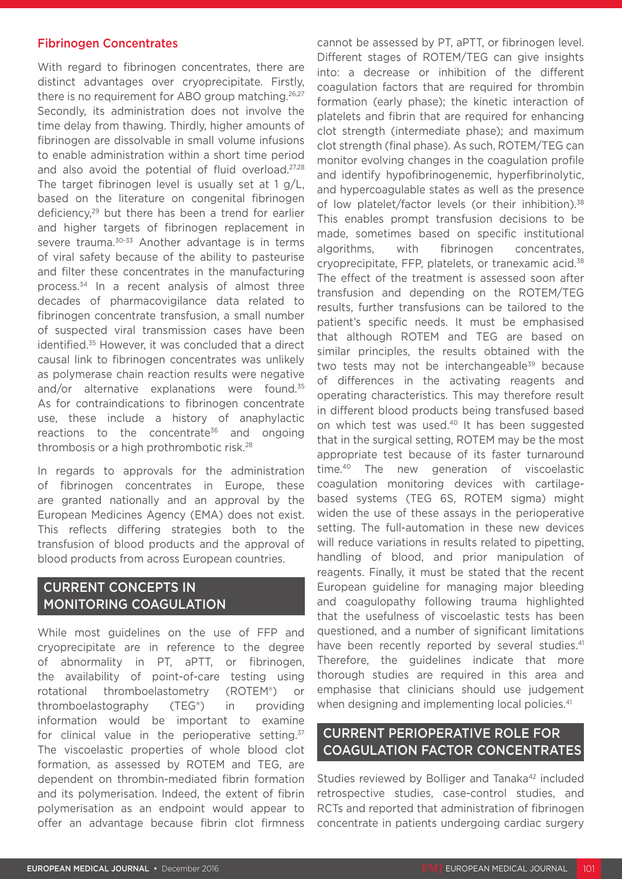### Fibrinogen Concentrates

With regard to fibrinogen concentrates, there are distinct advantages over cryoprecipitate. Firstly, there is no requirement for ABO group matching.<sup>26,27</sup> Secondly, its administration does not involve the time delay from thawing. Thirdly, higher amounts of fibrinogen are dissolvable in small volume infusions to enable administration within a short time period and also avoid the potential of fluid overload.27,28 The target fibrinogen level is usually set at 1 g/L, based on the literature on congenital fibrinogen deficiency,29 but there has been a trend for earlier and higher targets of fibrinogen replacement in severe trauma.<sup>30-33</sup> Another advantage is in terms of viral safety because of the ability to pasteurise and filter these concentrates in the manufacturing process.<sup>34</sup> In a recent analysis of almost three decades of pharmacovigilance data related to fibrinogen concentrate transfusion, a small number of suspected viral transmission cases have been identified.<sup>35</sup> However, it was concluded that a direct causal link to fibrinogen concentrates was unlikely as polymerase chain reaction results were negative and/or alternative explanations were found.<sup>35</sup> As for contraindications to fibrinogen concentrate use, these include a history of anaphylactic reactions to the concentrate<sup>36</sup> and ongoing thrombosis or a high prothrombotic risk.28

In regards to approvals for the administration of fibrinogen concentrates in Europe, these are granted nationally and an approval by the European Medicines Agency (EMA) does not exist. This reflects differing strategies both to the transfusion of blood products and the approval of blood products from across European countries.

## CURRENT CONCEPTS IN MONITORING COAGULATION

While most guidelines on the use of FFP and cryoprecipitate are in reference to the degree of abnormality in PT, aPTT, or fibrinogen, the availability of point-of-care testing using rotational thromboelastometry (ROTEM®) or thromboelastography (TEG®) in providing information would be important to examine for clinical value in the perioperative setting. $37$ The viscoelastic properties of whole blood clot formation, as assessed by ROTEM and TEG, are dependent on thrombin-mediated fibrin formation and its polymerisation. Indeed, the extent of fibrin polymerisation as an endpoint would appear to offer an advantage because fibrin clot firmness

cannot be assessed by PT, aPTT, or fibrinogen level. Different stages of ROTEM/TEG can give insights into: a decrease or inhibition of the different coagulation factors that are required for thrombin formation (early phase); the kinetic interaction of platelets and fibrin that are required for enhancing clot strength (intermediate phase); and maximum clot strength (final phase). As such, ROTEM/TEG can monitor evolving changes in the coagulation profile and identify hypofibrinogenemic, hyperfibrinolytic, and hypercoagulable states as well as the presence of low platelet/factor levels (or their inhibition).<sup>38</sup> This enables prompt transfusion decisions to be made, sometimes based on specific institutional algorithms, with fibrinogen concentrates, cryoprecipitate, FFP, platelets, or tranexamic acid.38 The effect of the treatment is assessed soon after transfusion and depending on the ROTEM/TEG results, further transfusions can be tailored to the patient's specific needs. It must be emphasised that although ROTEM and TEG are based on similar principles, the results obtained with the two tests may not be interchangeable<sup>39</sup> because of differences in the activating reagents and operating characteristics. This may therefore result in different blood products being transfused based on which test was used.40 It has been suggested that in the surgical setting, ROTEM may be the most appropriate test because of its faster turnaround time.40 The new generation of viscoelastic coagulation monitoring devices with cartilagebased systems (TEG 6S, ROTEM sigma) might widen the use of these assays in the perioperative setting. The full-automation in these new devices will reduce variations in results related to pipetting, handling of blood, and prior manipulation of reagents. Finally, it must be stated that the recent European guideline for managing major bleeding and coagulopathy following trauma highlighted that the usefulness of viscoelastic tests has been questioned, and a number of significant limitations have been recently reported by several studies.<sup>41</sup> Therefore, the guidelines indicate that more thorough studies are required in this area and emphasise that clinicians should use judgement when designing and implementing local policies.<sup>41</sup>

## CURRENT PERIOPERATIVE ROLE FOR COAGULATION FACTOR CONCENTRATES

Studies reviewed by Bolliger and Tanaka<sup>42</sup> included retrospective studies, case-control studies, and RCTs and reported that administration of fibrinogen concentrate in patients undergoing cardiac surgery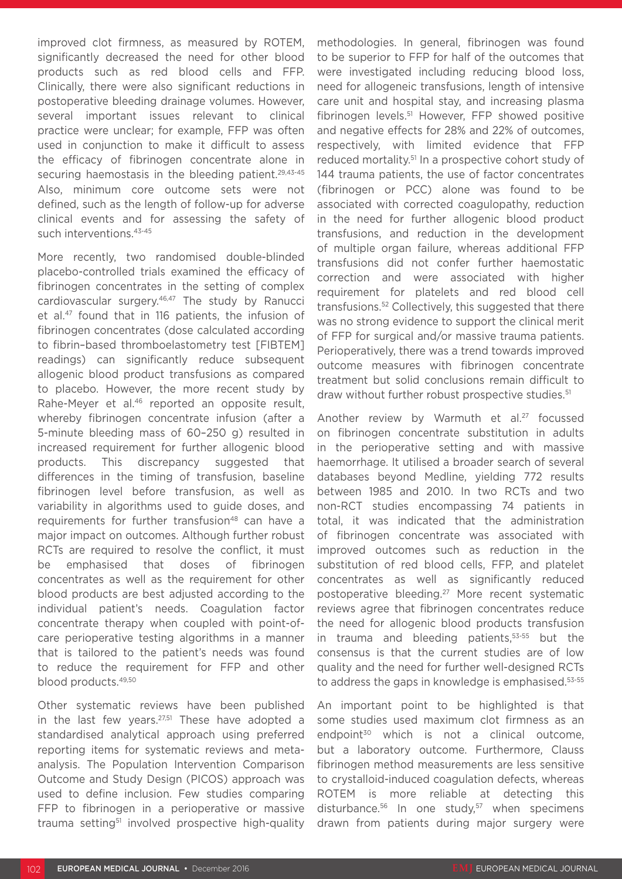improved clot firmness, as measured by ROTEM, significantly decreased the need for other blood products such as red blood cells and FFP. Clinically, there were also significant reductions in postoperative bleeding drainage volumes. However, several important issues relevant to clinical practice were unclear; for example, FFP was often used in conjunction to make it difficult to assess the efficacy of fibrinogen concentrate alone in securing haemostasis in the bleeding patient.<sup>29,43-45</sup> Also, minimum core outcome sets were not defined, such as the length of follow-up for adverse clinical events and for assessing the safety of such interventions.<sup>43-45</sup>

More recently, two randomised double-blinded placebo-controlled trials examined the efficacy of fibrinogen concentrates in the setting of complex cardiovascular surgery.<sup>46,47</sup> The study by Ranucci et al.47 found that in 116 patients, the infusion of fibrinogen concentrates (dose calculated according to fibrin–based thromboelastometry test [FIBTEM] readings) can significantly reduce subsequent allogenic blood product transfusions as compared to placebo. However, the more recent study by Rahe-Meyer et al.46 reported an opposite result, whereby fibrinogen concentrate infusion (after a 5-minute bleeding mass of 60–250 g) resulted in increased requirement for further allogenic blood products. This discrepancy suggested that differences in the timing of transfusion, baseline fibrinogen level before transfusion, as well as variability in algorithms used to guide doses, and requirements for further transfusion<sup>48</sup> can have a major impact on outcomes. Although further robust RCTs are required to resolve the conflict, it must be emphasised that doses of fibrinogen concentrates as well as the requirement for other blood products are best adjusted according to the individual patient's needs. Coagulation factor concentrate therapy when coupled with point-ofcare perioperative testing algorithms in a manner that is tailored to the patient's needs was found to reduce the requirement for FFP and other blood products.49,50

Other systematic reviews have been published in the last few years. $27,51$  These have adopted a standardised analytical approach using preferred reporting items for systematic reviews and metaanalysis. The Population Intervention Comparison Outcome and Study Design (PICOS) approach was used to define inclusion. Few studies comparing FFP to fibrinogen in a perioperative or massive trauma setting<sup>51</sup> involved prospective high-quality

methodologies. In general, fibrinogen was found to be superior to FFP for half of the outcomes that were investigated including reducing blood loss, need for allogeneic transfusions, length of intensive care unit and hospital stay, and increasing plasma fibrinogen levels.<sup>51</sup> However, FFP showed positive and negative effects for 28% and 22% of outcomes, respectively, with limited evidence that FFP reduced mortality.51 In a prospective cohort study of 144 trauma patients, the use of factor concentrates (fibrinogen or PCC) alone was found to be associated with corrected coagulopathy, reduction in the need for further allogenic blood product transfusions, and reduction in the development of multiple organ failure, whereas additional FFP transfusions did not confer further haemostatic correction and were associated with higher requirement for platelets and red blood cell transfusions.52 Collectively, this suggested that there was no strong evidence to support the clinical merit of FFP for surgical and/or massive trauma patients. Perioperatively, there was a trend towards improved outcome measures with fibrinogen concentrate treatment but solid conclusions remain difficult to draw without further robust prospective studies.<sup>51</sup>

Another review by Warmuth et al.<sup>27</sup> focussed on fibrinogen concentrate substitution in adults in the perioperative setting and with massive haemorrhage. It utilised a broader search of several databases beyond Medline, yielding 772 results between 1985 and 2010. In two RCTs and two non-RCT studies encompassing 74 patients in total, it was indicated that the administration of fibrinogen concentrate was associated with improved outcomes such as reduction in the substitution of red blood cells, FFP, and platelet concentrates as well as significantly reduced postoperative bleeding.27 More recent systematic reviews agree that fibrinogen concentrates reduce the need for allogenic blood products transfusion in trauma and bleeding patients,53-55 but the consensus is that the current studies are of low quality and the need for further well-designed RCTs to address the gaps in knowledge is emphasised.<sup>53-55</sup>

An important point to be highlighted is that some studies used maximum clot firmness as an endpoint<sup>30</sup> which is not a clinical outcome, but a laboratory outcome. Furthermore, Clauss fibrinogen method measurements are less sensitive to crystalloid-induced coagulation defects, whereas ROTEM is more reliable at detecting this disturbance.<sup>56</sup> In one study,<sup>57</sup> when specimens drawn from patients during major surgery were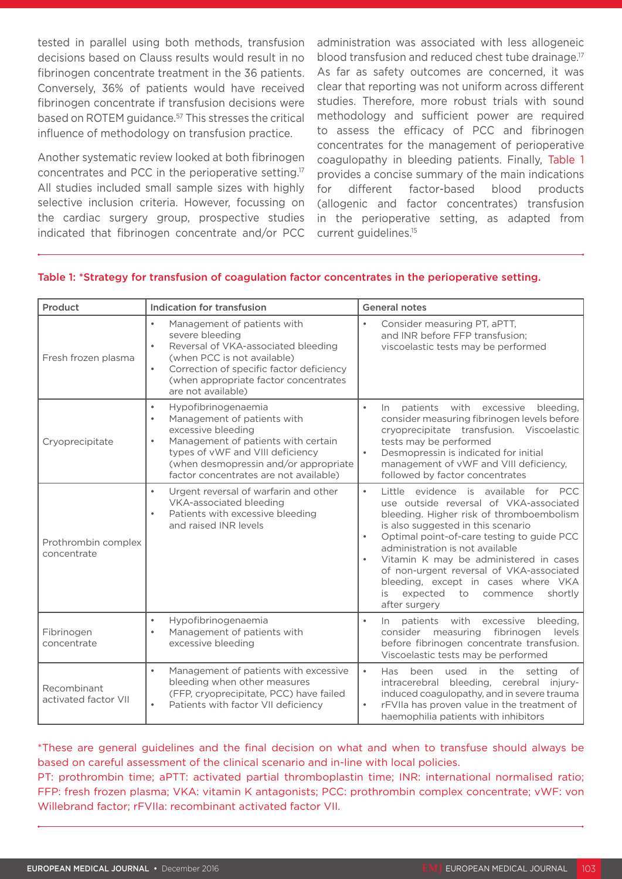tested in parallel using both methods, transfusion decisions based on Clauss results would result in no fibrinogen concentrate treatment in the 36 patients. Conversely, 36% of patients would have received fibrinogen concentrate if transfusion decisions were based on ROTEM guidance.57 This stresses the critical influence of methodology on transfusion practice.

Another systematic review looked at both fibrinogen concentrates and PCC in the perioperative setting.17 All studies included small sample sizes with highly selective inclusion criteria. However, focussing on the cardiac surgery group, prospective studies indicated that fibrinogen concentrate and/or PCC

administration was associated with less allogeneic blood transfusion and reduced chest tube drainage.<sup>17</sup> As far as safety outcomes are concerned, it was clear that reporting was not uniform across different studies. Therefore, more robust trials with sound methodology and sufficient power are required to assess the efficacy of PCC and fibrinogen concentrates for the management of perioperative coagulopathy in bleeding patients. Finally, Table 1 provides a concise summary of the main indications for different factor-based blood products (allogenic and factor concentrates) transfusion in the perioperative setting, as adapted from current guidelines.15

| Product                             | Indication for transfusion                                                                                                                                                                                                                                                    | <b>General notes</b>                                                                                                                                                                                                                                                                                                                                                                                                                                                     |
|-------------------------------------|-------------------------------------------------------------------------------------------------------------------------------------------------------------------------------------------------------------------------------------------------------------------------------|--------------------------------------------------------------------------------------------------------------------------------------------------------------------------------------------------------------------------------------------------------------------------------------------------------------------------------------------------------------------------------------------------------------------------------------------------------------------------|
| Fresh frozen plasma                 | Management of patients with<br>$\bullet$<br>severe bleeding<br>Reversal of VKA-associated bleeding<br>$\bullet$<br>(when PCC is not available)<br>Correction of specific factor deficiency<br>$\bullet$<br>(when appropriate factor concentrates<br>are not available)        | Consider measuring PT, aPTT,<br>and INR before FFP transfusion;<br>viscoelastic tests may be performed                                                                                                                                                                                                                                                                                                                                                                   |
| Cryoprecipitate                     | Hypofibrinogenaemia<br>$\bullet$<br>Management of patients with<br>$\bullet$<br>excessive bleeding<br>Management of patients with certain<br>$\bullet$<br>types of vWF and VIII deficiency<br>(when desmopressin and/or appropriate<br>factor concentrates are not available) | $\bullet$<br>patients with excessive<br>$\ln$<br>bleeding.<br>consider measuring fibrinogen levels before<br>cryoprecipitate transfusion. Viscoelastic<br>tests may be performed<br>$\bullet$<br>Desmopressin is indicated for initial<br>management of vWF and VIII deficiency,<br>followed by factor concentrates                                                                                                                                                      |
| Prothrombin complex<br>concentrate  | Urgent reversal of warfarin and other<br>$\bullet$<br>VKA-associated bleeding<br>Patients with excessive bleeding<br>$\bullet$<br>and raised INR levels                                                                                                                       | Little evidence is available<br>$\bullet$<br>for PCC<br>use outside reversal of VKA-associated<br>bleeding. Higher risk of thromboembolism<br>is also suggested in this scenario<br>Optimal point-of-care testing to guide PCC<br>$\bullet$<br>administration is not available<br>Vitamin K may be administered in cases<br>of non-urgent reversal of VKA-associated<br>bleeding, except in cases where VKA<br>expected<br>to commence<br>shortly<br>is<br>after surgery |
| Fibrinogen<br>concentrate           | Hypofibrinogenaemia<br>$\bullet$<br>Management of patients with<br>$\bullet$<br>excessive bleeding                                                                                                                                                                            | $\bullet$<br>patients with<br>excessive<br>bleeding,<br>$\ln$<br>consider measuring fibrinogen<br>levels<br>before fibrinogen concentrate transfusion.<br>Viscoelastic tests may be performed                                                                                                                                                                                                                                                                            |
| Recombinant<br>activated factor VII | $\bullet$<br>Management of patients with excessive<br>bleeding when other measures<br>(FFP, cryoprecipitate, PCC) have failed<br>Patients with factor VII deficiency<br>$\bullet$                                                                                             | $\bullet$<br>used in the<br>been<br>setting<br>of<br>Has<br>intracerebral bleeding, cerebral injury-<br>induced coagulopathy, and in severe trauma<br>rFVIIa has proven value in the treatment of<br>haemophilia patients with inhibitors                                                                                                                                                                                                                                |

#### Table 1: \*Strategy for transfusion of coagulation factor concentrates in the perioperative setting.

\*These are general guidelines and the final decision on what and when to transfuse should always be based on careful assessment of the clinical scenario and in-line with local policies.

PT: prothrombin time; aPTT: activated partial thromboplastin time; INR: international normalised ratio; FFP: fresh frozen plasma; VKA: vitamin K antagonists; PCC: prothrombin complex concentrate; vWF: von Willebrand factor; rFVIIa: recombinant activated factor VII.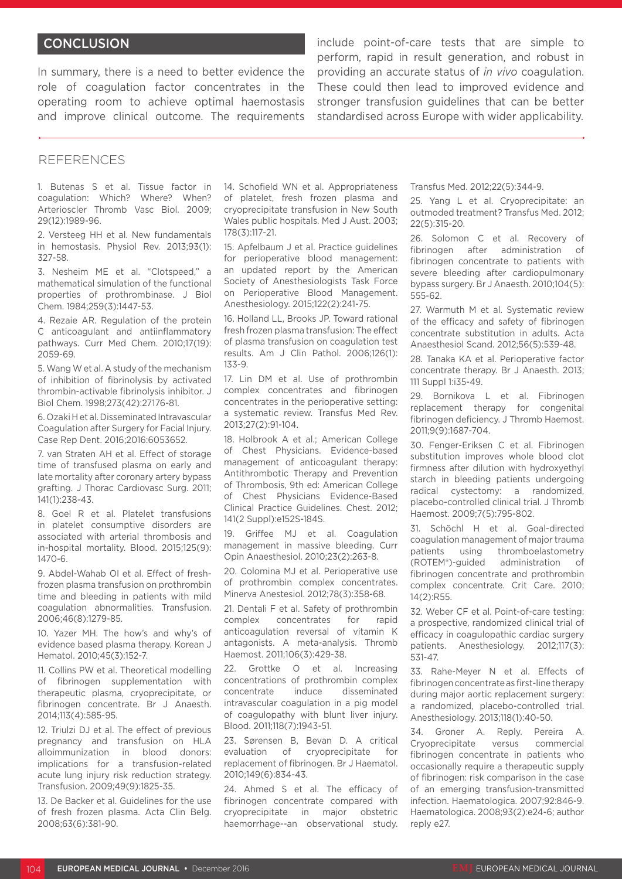## **CONCLUSION**

In summary, there is a need to better evidence the role of coagulation factor concentrates in the operating room to achieve optimal haemostasis and improve clinical outcome. The requirements

include point-of-care tests that are simple to perform, rapid in result generation, and robust in providing an accurate status of *in vivo* coagulation. These could then lead to improved evidence and stronger transfusion guidelines that can be better standardised across Europe with wider applicability.

#### REFERENCES

1. Butenas S et al. Tissue factor in coagulation: Which? Where? When? Arterioscler Thromb Vasc Biol. 2009; 29(12):1989-96.

2. Versteeg HH et al. New fundamentals in hemostasis. Physiol Rev. 2013;93(1): 327-58.

3. Nesheim ME et al. "Clotspeed," a mathematical simulation of the functional properties of prothrombinase. J Biol Chem. 1984;259(3):1447-53.

4. Rezaie AR. Regulation of the protein C anticoagulant and antiinflammatory pathways. Curr Med Chem. 2010;17(19): 2059-69.

5. Wang W et al. A study of the mechanism of inhibition of fibrinolysis by activated thrombin-activable fibrinolysis inhibitor. J Biol Chem. 1998;273(42):27176-81.

6. Ozaki H et al. Disseminated Intravascular Coagulation after Surgery for Facial Injury. Case Rep Dent. 2016;2016:6053652.

7. van Straten AH et al. Effect of storage time of transfused plasma on early and late mortality after coronary artery bypass grafting. J Thorac Cardiovasc Surg. 2011; 141(1):238-43.

8. Goel R et al. Platelet transfusions in platelet consumptive disorders are associated with arterial thrombosis and in-hospital mortality. Blood. 2015;125(9): 1470-6.

9. Abdel-Wahab OI et al. Effect of freshfrozen plasma transfusion on prothrombin time and bleeding in patients with mild coagulation abnormalities. Transfusion. 2006;46(8):1279-85.

10. Yazer MH. The how's and why's of evidence based plasma therapy. Korean J Hematol. 2010;45(3):152-7.

11. Collins PW et al. Theoretical modelling of fibrinogen supplementation with therapeutic plasma, cryoprecipitate, or fibrinogen concentrate. Br J Anaesth. 2014;113(4):585-95.

12. Triulzi DJ et al. The effect of previous pregnancy and transfusion on HLA alloimmunization in blood donors: implications for a transfusion-related acute lung injury risk reduction strategy. Transfusion. 2009;49(9):1825-35.

13. De Backer et al. Guidelines for the use of fresh frozen plasma. Acta Clin Belg. 2008;63(6):381-90.

14. Schofield WN et al. Appropriateness of platelet, fresh frozen plasma and cryoprecipitate transfusion in New South Wales public hospitals. Med J Aust. 2003; 178(3):117-21.

15. Apfelbaum J et al. Practice guidelines for perioperative blood management: an updated report by the American Society of Anesthesiologists Task Force on Perioperative Blood Management. Anesthesiology. 2015;122(2):241-75.

16. Holland LL, Brooks JP. Toward rational fresh frozen plasma transfusion: The effect of plasma transfusion on coagulation test results. Am J Clin Pathol. 2006;126(1): 133-9.

17. Lin DM et al. Use of prothrombin complex concentrates and fibrinogen concentrates in the perioperative setting: a systematic review. Transfus Med Rev. 2013;27(2):91-104.

18. Holbrook A et al.; American College of Chest Physicians. Evidence-based management of anticoagulant therapy: Antithrombotic Therapy and Prevention of Thrombosis, 9th ed: American College of Chest Physicians Evidence-Based Clinical Practice Guidelines. Chest. 2012; 141(2 Suppl):e152S-184S.

19. Griffee MJ et al. Coagulation management in massive bleeding. Curr Opin Anaesthesiol. 2010;23(2):263-8.

20. Colomina MJ et al. Perioperative use of prothrombin complex concentrates. Minerva Anestesiol. 2012;78(3):358-68.

21. Dentali F et al. Safety of prothrombin complex concentrates for rapid anticoagulation reversal of vitamin K antagonists. A meta-analysis. Thromb Haemost. 2011;106(3):429-38.

22. Grottke O et al. Increasing concentrations of prothrombin complex concentrate induce disseminated intravascular coagulation in a pig model of coagulopathy with blunt liver injury. Blood. 2011;118(7):1943-51.

23. Sørensen B, Bevan D. A critical evaluation of cryoprecipitate for replacement of fibrinogen. Br J Haematol. 2010;149(6):834-43.

24. Ahmed S et al. The efficacy of fibrinogen concentrate compared with cryoprecipitate in major obstetric haemorrhage--an observational study.

Transfus Med. 2012;22(5):344-9.

25. Yang L et al. Cryoprecipitate: an outmoded treatment? Transfus Med. 2012; 22(5):315-20.

26. Solomon C et al. Recovery of fibrinogen after administration of fibrinogen concentrate to patients with severe bleeding after cardiopulmonary bypass surgery. Br J Anaesth. 2010;104(5): 555-62.

27. Warmuth M et al. Systematic review of the efficacy and safety of fibrinogen concentrate substitution in adults. Acta Anaesthesiol Scand. 2012;56(5):539-48.

28. Tanaka KA et al. Perioperative factor concentrate therapy. Br J Anaesth. 2013; 111 Suppl 1:i35-49.

29. Bornikova L et al. Fibrinogen replacement therapy for congenital fibrinogen deficiency. J Thromb Haemost. 2011;9(9):1687-704.

30. Fenger-Eriksen C et al. Fibrinogen substitution improves whole blood clot firmness after dilution with hydroxyethyl starch in bleeding patients undergoing radical cystectomy: a randomized, placebo-controlled clinical trial. J Thromb Haemost. 2009;7(5):795-802.

31. Schöchl H et al. Goal-directed coagulation management of major trauma patients using thromboelastometry (ROTEM®)-guided administration of fibrinogen concentrate and prothrombin complex concentrate. Crit Care. 2010; 14(2):R55.

32. Weber CF et al. Point-of-care testing: a prospective, randomized clinical trial of efficacy in coagulopathic cardiac surgery patients. Anesthesiology. 2012;117(3): 531-47.

33. Rahe-Meyer N et al. Effects of fibrinogen concentrate as first-line therapy during major aortic replacement surgery: a randomized, placebo-controlled trial. Anesthesiology. 2013;118(1):40-50.

34. Groner A. Reply. Pereira A. Cryoprecipitate versus commercial fibrinogen concentrate in patients who occasionally require a therapeutic supply of fibrinogen: risk comparison in the case of an emerging transfusion-transmitted infection. Haematologica. 2007;92:846-9. Haematologica. 2008;93(2):e24-6; author reply e27.